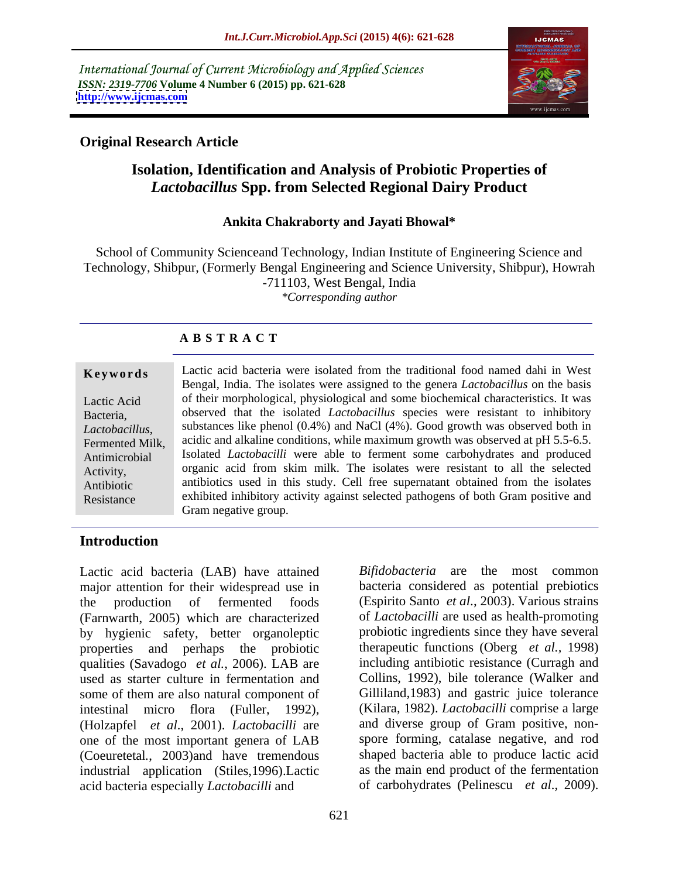International Journal of Current Microbiology and Applied Sciences *ISSN: 2319-7706* **Volume 4 Number 6 (2015) pp. 621-628 <http://www.ijcmas.com>**



### **Original Research Article**

## **Isolation, Identification and Analysis of Probiotic Properties of**  *Lactobacillus* **Spp. from Selected Regional Dairy Product**

### **Ankita Chakraborty and Jayati Bhowal\***

School of Community Scienceand Technology, Indian Institute of Engineering Science and Technology, Shibpur, (Formerly Bengal Engineering and Science University, Shibpur), Howrah -711103, West Bengal, India *\*Corresponding author*

### **A B S T R A C T**

Resistance

**Keywords** Lactic acid bacteria were isolated from the traditional food named dahi in West Bengal, India. The isolates were assigned to the genera *Lactobacillus* on the basis of their morphological, physiological and some biochemical characteristics. It was Lactic Acid observed that the isolated *Lactobacillus* species were resistant to inhibitory Bacteria, substances like phenol (0.4%) and NaCl (4%). Good growth was observed both in Lactobacillus, substances like phenol (0.4%) and NaCl (4%). Good growth was observed both in<br>Fermented Milk, acidic and alkaline conditions, while maximum growth was observed at pH 5.5-6.5. Antimicrobial Isolated *Lactobacilli* were able to ferment some carbohydrates and produced organic acid from skim milk. The isolates were resistant to all the selected Activity, Antibiotic antibiotics used in this study. Cell free supernatant obtained from the isolates exhibited inhibitory activity against selected pathogens of both Gram positive and Gram negative group.

### **Introduction**

Lactic acid bacteria (LAB) have attained major attention for their widespread use in the production of fermented foods (Espirito Santo *et al*., 2003). Various strains (Farnwarth, 2005) which are characterized by hygienic safety, better organoleptic properties and perhaps the probiotic therapeutic functions (Oberg *et al.,* 1998) qualities (Savadogo *et al.*, 2006). LAB are used as starter culture in fermentation and some of them are also natural component of intestinal micro flora (Fuller, 1992), (Holzapfel *et al*., 2001). *Lactobacilli* are one of the most important genera of LAB (Coeuretetal*.*, 2003)and have tremendous industrial application (Stiles,1996).Lactic acid bacteria especially *Lactobacilli* and

bacteria considered as potential prebiotics of *Lactobacilli* are used as health-promoting probiotic ingredients since they have several including antibiotic resistance (Curragh and Collins, 1992), bile tolerance (Walker and Gilliland*,*1983) and gastric juice tolerance (Kilara, 1982). *Lactobacilli* comprise a large and diverse group of Gram positive, non spore forming, catalase negative, and rod shaped bacteria able to produce lactic acid as the main end product of the fermentation of carbohydrates (Pelinescu *et al*.,2009).

*Bifidobacteria* are the most common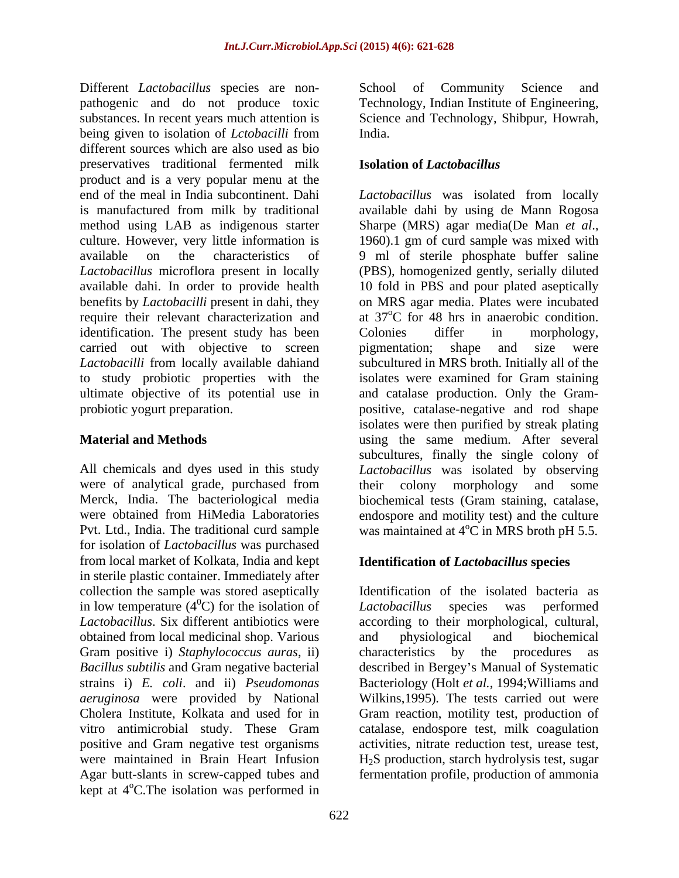Different *Lactobacillus* species are non pathogenic and do not produce toxic substances. In recent years much attention is Science and Technology, Shibpur, Howrah, being given to isolation of *Lctobacilli* from India. different sources which are also used as bio preservatives traditional fermented milk product and is a very popular menu at the end of the meal in India subcontinent. Dahi *Lactobacillus*was isolated from locally is manufactured from milk by traditional available dahi by using de Mann Rogosa method using LAB as indigenous starter Sharpe (MRS) agar media(De Man et al., culture. However, very little information is 1960). 1 gm of curd sample was mixed with available on the characteristics of 9 ml of sterile phosphate buffer saline *Lactobacillus* microflora present in locally (PBS), homogenized gently, serially diluted available dahi. In order to provide health 10 fold in PBS and pour plated aseptically benefits by *Lactobacilli* present in dahi, they require their relevant characterization and at 37°C for 48 hrs in anaerobic condition. identification. The present study has been Colonies differ in morphology, carried out with objective to screen pigmentation; shape and size were *Lactobacilli* from locally available dahiand subcultured in MRS broth. Initially all of the to study probiotic properties with the isolates were examined for Gram staining ultimate objective of its potential use in and catalase production. Only the Gram probiotic yogurt preparation. positive, catalase-negative and rod shape

were of analytical grade, purchased from their colony morphology and some Pvt. Ltd., India. The traditional curd sample was maintained at  $4^{\circ}$ C in MRS broth pH 5.5. for isolation of *Lactobacillus* was purchased from local market of Kolkata, India and kept in sterile plastic container. Immediately after collection the sample was stored aseptically in low temperature  $(4^0C)$  for the isolation of Lactobacillus species was performed obtained from local medicinal shop. Various Gram positive i) *Staphylococcus auras*, ii) *aeruginosa* were provided by National positive and Gram negative test organisms kept at 4<sup>o</sup>C. The isolation was performed in

School of Community Science and Technology, Indian Institute of Engineering, India.

### **Isolation of** *Lactobacillus*

**Material and Methods** using the same medium. After several All chemicals and dyes used in this study *Lactobacillus* was isolated by observing Merck, India. The bacteriological media biochemical tests (Gram staining, catalase, were obtained from HiMedia Laboratories endospore and motility test) and the culture Sharpe (MRS) agar media(De Man *et al*., 1960).1 gm of curd sample was mixed with on MRS agar media. Plates were incubated Colonies differ in morphology, pigmentation; shape and size were isolates were then purified by streak plating subcultures, finally the single colony of their colony morphology and some

### **Identification of** *Lactobacillus* **species**

 $^{0}$ C) for the isolation of Lactobacillus species was performed *Lactobacillus*. Six different antibiotics were according to their morphological, cultural, Bacillus subtilis and Gram negative bacterial described in Bergey's Manual of Systematic strains i) *E. coli*. and ii) *Pseudomonas*  Bacteriology (Holt *et al.*, 1994;Williams and Cholera Institute, Kolkata and used for in Gram reaction, motility test, production of vitro antimicrobial study. These Gram catalase, endospore test, milk coagulation were maintained in Brain Heart Infusion H2S production, starch hydrolysis test, sugar Agar butt-slants in screw-capped tubes and fermentation profile, production of ammoniaIdentification of the isolated bacteria as *Lactobacillus* species was performed and physiological and biochemical characteristics by the procedures Wilkins,1995). The tests carried out were activities, nitrate reduction test, urease test,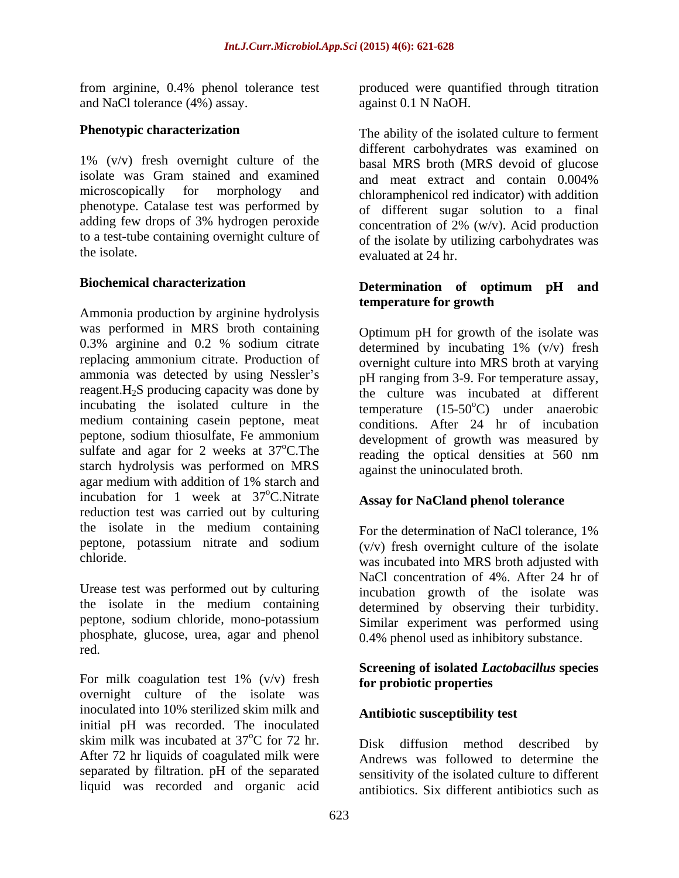and NaCl tolerance (4%) assay.

1% (v/v) fresh overnight culture of the isolate was Gram stained and examined and meat extract and contain 0.004% phenotype. Catalase test was performed by

Ammonia production by arginine hydrolysis **temperature for growth** was performed in MRS broth containing 0.3% arginine and 0.2 % sodium citrate replacing ammonium citrate. Production of overnight culture into MRS broth at varying ammonia was detected by using Nessler's pH ranging from 3-9. For temperature assay, reagent. $H_2S$  producing capacity was done by incubating the isolated culture in the medium containing casein peptone, meat peptone, sodium thiosulfate, Fe ammonium sulfate and agar for 2 weeks at  $37^{\circ}$ C. The starch hydrolysis was performed on MRS agar medium with addition of 1% starch and incubation for 1 week at 37°C. Nitrate reduction test was carried out by culturing the isolate in the medium containing For the determination of NaCl tolerance, 1% peptone, potassium nitrate and sodium

Urease test was performed out by culturing the isolate in the medium containing phosphate, glucose, urea, agar and phenol red.

For milk coagulation test  $1\%$  (v/v) fresh for probiotic properties overnight culture of the isolate was inoculated into 10% sterilized skim milk and initial pH was recorded. The inoculated skim milk was incubated at  $37^{\circ}$ C for 72 hr. Disk diffusion method described by After 72 hr liquids of coagulated milk were separated by filtration. pH of the separated liquid was recorded and organic acid

from arginine, 0.4% phenol tolerance test produced were quantified through titration against 0.1 N NaOH.

**Phenotypic characterization** The ability of the isolated culture to ferment microscopically for morphology and chloramphenicol red indicator) with addition adding few drops of 3% hydrogen peroxide  $\frac{\text{concentration of 2\% (w/v)}\text{Acid production}}{\text{Concentration of 2\% (w/v)}}$ to a test-tube containing overnight culture of of the isolate by utilizing carbohydrates was the isolate. evaluated at 24 hr. different carbohydrates was examined on basal MRS broth (MRS devoid of glucose and meat extract and contain 0.004% of different sugar solution to a final concentration of 2% (w/v). Acid production

### **Biochemical characterization Determination of optimum pH and temperature for growth**

oC.The reading the optical densities at 560 nm Optimum pH for growth of the isolate was determined by incubating 1% (v/v) fresh the culture was incubated at different temperature  $(15{\text -}50^{\circ}C)$  under anaerobic conditions. After 24 hr of incubation development of growth was measured by against the uninoculated broth.

# oC.Nitrate **Assay for NaCland phenol tolerance**

chloride. was incubated into MRS broth adjusted with peptone, sodium chloride, mono-potassium Similar experiment was performed using For the determination of NaCl tolerance, 1% (v/v) fresh overnight culture of the isolate NaCl concentration of 4%. After 24 hr of incubation growth of the isolate was determined by observing their turbidity. 0.4% phenol used as inhibitory substance.

### **Screening of isolated** *Lactobacillus* **species for probiotic properties**

### **Antibiotic susceptibility test**

 $\rm{^{\circ}C}$  for 72 hr. Disk diffusion method described by Disk diffusion method described Andrews was followed to determine the sensitivity of the isolated culture to different antibiotics. Six different antibiotics such as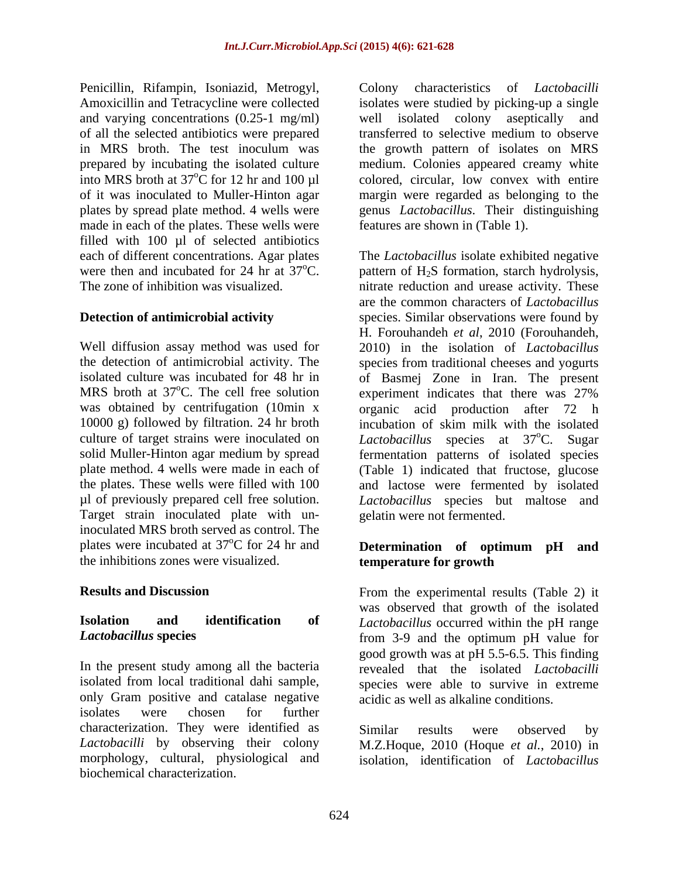Penicillin, Rifampin, Isoniazid, Metrogyl, Amoxicillin and Tetracycline were collected isolates were studied by picking-up a single and varying concentrations (0.25-1 mg/ml) well isolated colony aseptically and of all the selected antibiotics were prepared transferred to selective medium to observe in MRS broth. The test inoculum was the growth pattern of isolates on MRS prepared by incubating the isolated culture medium. Colonies appeared creamy white into MRS broth at  $37^{\circ}$ C for 12 hr and 100 µl colored, circular, low convex with entire of it was inoculated to Muller-Hinton agar margin were regarded as belonging to the plates by spread plate method. 4 wells were genus *Lactobacillus*. Their distinguishing made in each of the plates. These wells were filled with  $100 \mu l$  of selected antibiotics each of different concentrations. Agar plates

10000 g) followed by filtration. 24 hr broth incubation of skim milk with the isolated Target strain inoculated plate with uninoculated MRS broth served as control. The plates were incubated at 37<sup>°</sup>C for 24 hr and **Determination of optimum pH and** the inhibitions zones were visualized.

In the present study among all the bacteria revealed that the isolated *Lactobacilli* isolated from local traditional dahi sample, species were able to survive in extreme only Gram positive and catalase negative isolates were chosen for further characterization. They were identified as *Lactobacilli* by observing their colony M.Z.Hoque, 2010 (Hoque *et al.*, 2010) in morphology, cultural, physiological and isolation, identification of *Lactobacillus*biochemical characterization.

characteristics of *Lactobacilli* well isolated colony aseptically features are shown in (Table 1).

each of different concentrations. Agar plates The *Lactobacillus* isolate exhibited negative were then and incubated for 24 hr at  $37^{\circ}$ C. pattern of H<sub>2</sub>S formation, starch hydrolysis, were then and incubated for 24 hr at  $37^{\circ}$ C. pattern of H<sub>2</sub>S formation, starch hydrolysis,<br>The zone of inhibition was visualized. nitrate reduction and urease activity. These **Detection of antimicrobial activity** species. Similar observations were found by Well diffusion assay method was used for 2010) in the isolation of *Lactobacillus* the detection of antimicrobial activity. The species from traditional cheeses and yogurts isolated culture was incubated for 48 hr in of Basmej Zone in Iran. The present MRS broth at  $37^{\circ}$ C. The cell free solution experiment indicates that there was  $27\%$ was obtained by centrifugation (10min x organic acid production after 72 h culture of target strains were inoculated on *Lactobacillus* species at 37<sup>o</sup>C. Sugar solid Muller-Hinton agar medium by spread fermentation patterns of isolated species plate method. 4 wells were made in each of (Table 1) indicated that fructose, glucose the plates. These wells were filled with 100 and lactose were fermented by isolated µl of previously prepared cell free solution. *Lactobacillus* species but maltose and are the common characters of *Lactobacillus* H. Forouhandeh *et al*, 2010 (Forouhandeh, experiment indicates that there was 27% incubation of skim milk with the isolated <sup>o</sup>C. Sugar gelatin were not fermented.

# **temperature for growth**

**Results and Discussion** From the experimental results (Table 2) it **Isolation and identification of** *Lactobacillus* occurred within the pH range *Lactobacillus* **species** from 3-9 and the optimum pH value for was observed that growth of the isolated good growth was at pH 5.5-6.5. This finding acidic as well as alkaline conditions.

Similar results were observed by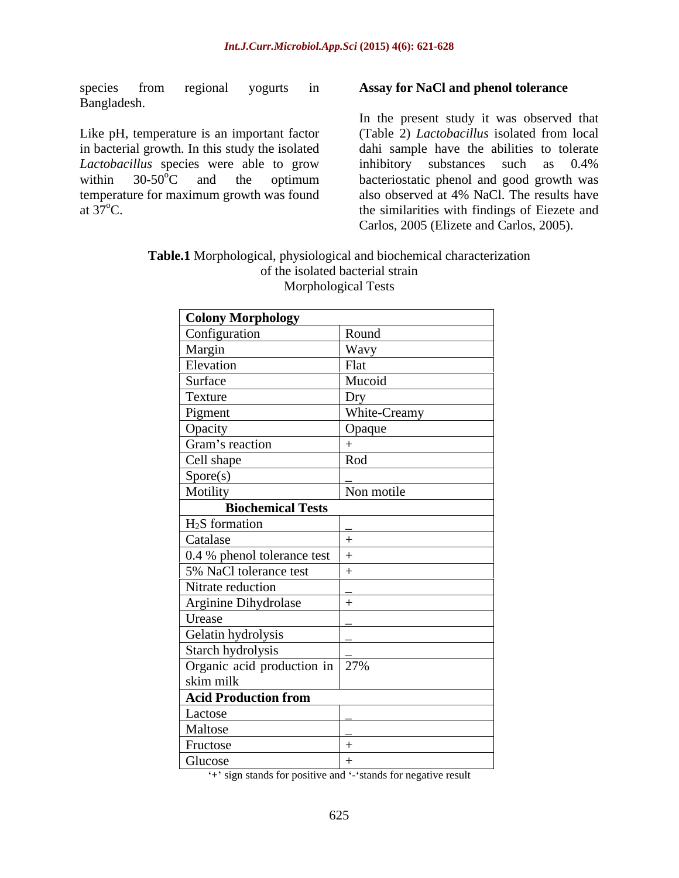species from regional yogurts in **Assay for NaCl and phenol tolerance** Bangladesh.

Like pH, temperature is an important factor in bacterial growth. In this study the isolated Lactobacillus species were able to grow inhibitory substances such as 0.4%

within  $30-50^{\circ}$ C and the optimum bacteriostatic phenol and good growth was temperature for maximum growth was found also observed at 4% NaCl. The results have at  $37^{\circ}$ C. the similarities with findings of Eiezete and In the present study it was observed that (Table 2) *Lactobacillus* isolated from local dahi sample have the abilities to tolerate inhibitory substances such as 0.4% bacteriostatic phenol and good growth was Carlos, 2005 (Elizete and Carlos, 2005).

### **Table.1** Morphological, physiological and biochemical characterization of the isolated bacterial strain Morphological Tests

| <b>Colony Morphology</b>                    |                     |
|---------------------------------------------|---------------------|
| Configuration                               | Round               |
| Margin                                      | Wavy                |
| Elevation                                   | Flat                |
| Surface                                     | Mucoid              |
| Texture                                     |                     |
| Pigment                                     | Dry<br>White-Creamy |
|                                             | Opaque              |
| Opacity<br>Gram's reaction                  | $+$                 |
| Cell shape                                  | Rod                 |
| S <sub>pore(s)</sub>                        |                     |
| Motility                                    | Non motile          |
| <b>Biochemical Tests</b>                    |                     |
| $H_2S$ formation                            |                     |
| Catalase                                    |                     |
| 0.4 % phenol tolerance test                 |                     |
| 5% NaCl tolerance test                      |                     |
| Nitrate reduction                           |                     |
| Arginine Dihydrolase                        |                     |
| Urease                                      |                     |
| Gelatin hydrolysis                          |                     |
| Starch hydrolysis                           |                     |
| Organic acid production in 27%<br>skim milk |                     |
|                                             |                     |
| <b>Acid Production from</b>                 |                     |
| Lactose                                     |                     |
| Maltose                                     |                     |
| Fructose                                    |                     |
| Glucose                                     |                     |

<sup>++</sup> sign stands for positive and  $\cdot$  stands for negative result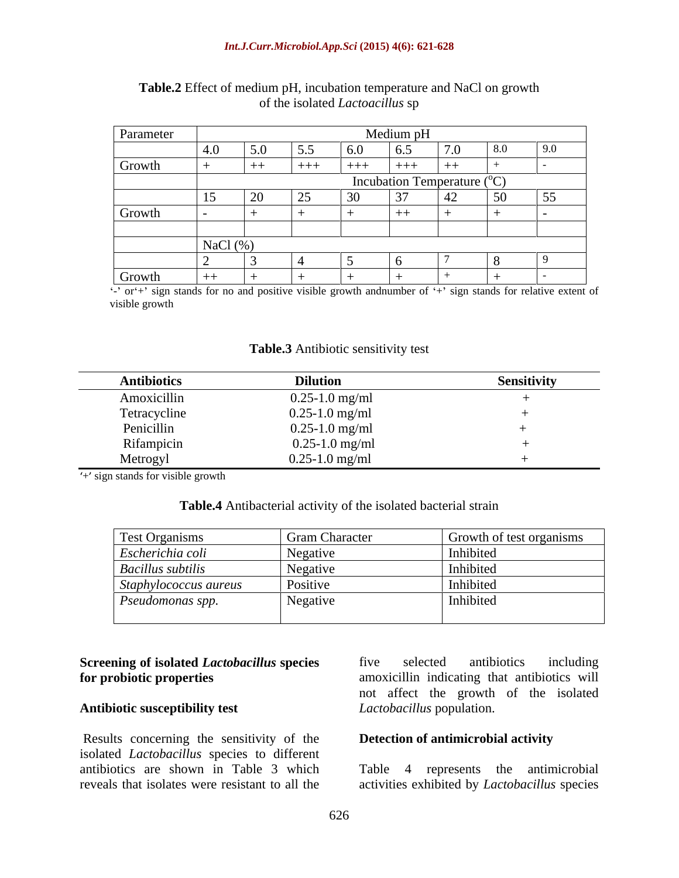### *Int.J.Curr.Microbiol.App.Sci* **(2015) 4(6): 621-628**

| Parameter | Medium pH                   |        |                  |                      |        |      |    |                  |
|-----------|-----------------------------|--------|------------------|----------------------|--------|------|----|------------------|
|           |                             | 5.0    | 5.5              | $\sim$ $\sim$<br>v.v | ∪.J    |      |    |                  |
| Growth    |                             | ++     | $+ + +$          | $+ + +$              | $+++$  |      |    |                  |
|           | Incubation Temperature (°C) |        |                  |                      |        |      |    |                  |
|           |                             | $\sim$ | $\cap$ $\subset$ | 30<br>- J U          | $\sim$ | г∠ — | 50 | $\vert 55 \vert$ |
| Growth    |                             |        |                  |                      | $+ +$  |      |    |                  |
|           |                             |        |                  |                      |        |      |    |                  |
|           | NaCl (%)                    |        |                  |                      |        |      |    |                  |
|           |                             |        |                  |                      |        |      |    |                  |
| Growth    | $++$                        |        |                  |                      |        |      |    |                  |

### **Table.2** Effect of medium pH, incubation temperature and NaCl on growth of the isolated *Lactoacillus* sp

 $\cdot$  or  $+$  sign stands for no and positive visible growth andnumber of  $+$  sign stands for relative extent of visible growth

**Table.3** Antibiotic sensitivity test

| <b>Antibiotics</b> | <b>Dilution</b>    | $\cdots$<br><b>Sensitivity</b> |
|--------------------|--------------------|--------------------------------|
| Amoxicillin        | $0.25 - 1.0$ mg/ml |                                |
| Tetracycline       | $0.25 - 1.0$ mg/ml |                                |
| Penicillin         | $0.25 - 1.0$ mg/ml |                                |
| Rifampicin         | $0.25 - 1.0$ mg/ml |                                |
| Metrogyl           | $0.25 - 1.0$ mg/ml |                                |

+ sign stands for visible growth

### **Table.4** Antibacterial activity of the isolated bacterial strain

| Test Organisms               | <b>Gram Character</b>             | Growth of test organisms |
|------------------------------|-----------------------------------|--------------------------|
| Escherichia coli             | Negative                          | Inhibited                |
| <b>Bacillus</b> subtilis     | Negative                          | Inhibited                |
| $\int$ Staphylococcus aureus | Positive                          | Inhibited                |
| Pseudomonas spp.             | Negative<br>$\tilde{\phantom{a}}$ | Inhibited                |
|                              |                                   |                          |

### **Antibiotic susceptibility test**

Results concerning the sensitivity of the isolated *Lactobacillus* species to different antibiotics are shown in Table 3 which Table 4 represents the antimicrobial reveals that isolates were resistant to all the activities exhibited by *Lactobacillus* species

**Screening of isolated** *Lactobacillus* **species** five selected antibiotics including **for probiotic properties** amoxicillin indicating that antibiotics will five selected antibiotics including not affect the growth of the isolated *Lactobacillus* population.

### **Detection of antimicrobial activity**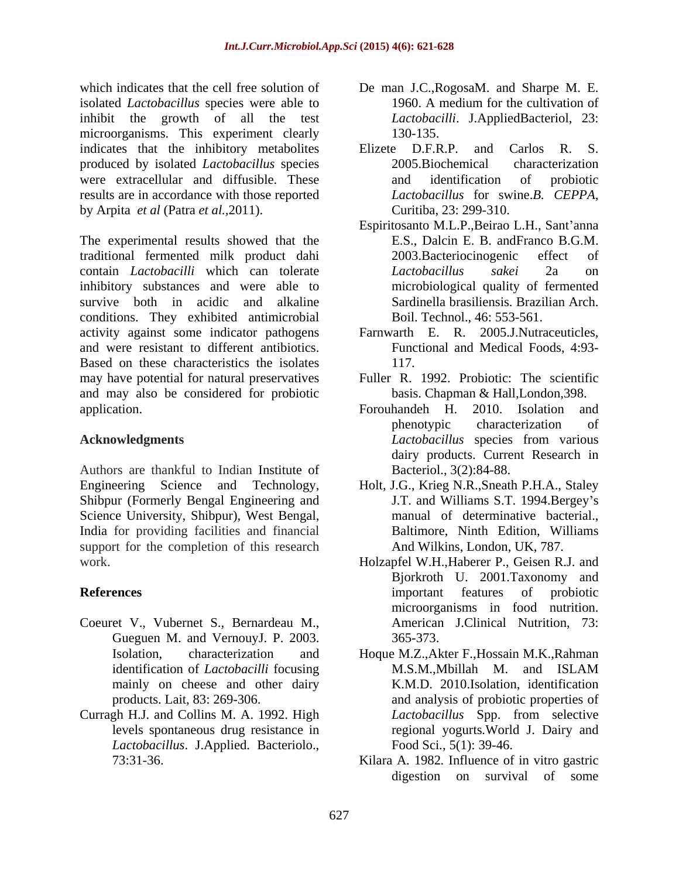which indicates that the cell free solution of De man J.C.,RogosaM. and Sharpe M. E. isolated *Lactobacillus* species were able to inhibit the growth of all the test microorganisms. This experiment clearly 130-135. indicates that the inhibitory metabolites Elizete D.F.R.P. and Carlos R. S. produced by isolated *Lactobacillus* species were extracellular and diffusible. These and identification of probiotic results are in accordance with those reported by Arpita *et al* (Patra *et al.,*2011).

The experimental results showed that the traditional fermented milk product dahi contain *Lactobacilli* which can tolerate inhibitory substances and were able to survive both in acidic and alkaline Sardinella brasiliensis. Brazilian Arch. conditions. They exhibited antimicrobial activity against some indicator pathogens and were resistant to different antibiotics. Based on these characteristics the isolates 117. may have potential for natural preservatives and may also be considered for probiotic application. The Formulandeh H. 2010. Isolation and application.

Authors are thankful to Indian Institute of Shibpur (Formerly Bengal Engineering and Science University, Shibpur), West Bengal, India for providing facilities and financial support for the completion of this research

- Coeuret V., Vubernet S., Bernardeau M., Gueguen M. and VernouyJ. P. 2003. mainly on cheese and other dairy
- Curragh H.J. and Collins M. A. 1992. High *Lactobacillus*. J.Applied. Bacteriolo.,
- 1960. A medium for the cultivation of *Lactobacilli*. J.AppliedBacteriol, 23: 130-135.
- Elizete D.F.R.P. and Carlos R. S. 2005.Biochemical characterization and identification of probiotic *Lactobacillus* for swine.*B. CEPPA,* Curitiba, 23: 299-310.
- Espiritosanto M.L.P., Beirao L.H., Sant'anna E.S., Dalcin E. B. andFranco B.G.M. 2003.Bacteriocinogenic effect of *Lactobacillus sakei* 2a on microbiological quality of fermented Boil. Technol., 46: 553-561.
- Farnwarth E. R. 2005.J.Nutraceuticles, Functional and Medical Foods, 4:93- 117.
- Fuller R. 1992. Probiotic: The scientific basis. Chapman & Hall,London,398.
- **Acknowledgments** *Acknowledgments Lactobacillus* species from various Forouhandeh H. 2010. Isolation and phenotypic characterization of *Lactobacillus* species from various dairy products. Current Research in Bacteriol., 3(2):84-88.
- Engineering Science and Technology, Holt, J.G., Krieg N.R.,Sneath P.H.A., Staley J.T. and Williams S.T. 1994.Bergey s manual of determinative bacterial., Baltimore, Ninth Edition, Williams And Wilkins, London, UK, 787.
- work. Holzapfel W.H.,Haberer P., Geisen R.J. and **References** and **References** *References References References References References References References References References References References References References* Bjorkroth U. 2001.Taxonomy and important features of probiotic microorganisms in food nutrition. American J.Clinical Nutrition, 73: 365-373.
	- Isolation, characterization and Hoque M.Z.,Akter F.,Hossain M.K.,Rahman identification of *Lactobacilli* focusing M.S.M., Mbillah M. and ISLAM products. Lait, 83: 269-306. and analysis of probiotic properties of levels spontaneous drug resistance in regional yogurts*.*World J. Dairy and M.S.M.,Mbillah M. and ISLAM K.M.D. 2010.Isolation, identification *Lactobacillus* Spp. from selective Food Sci*.*, 5(1): 39-46.
	- 73:31-36. Kilara A*.* 1982*.* Influence of in vitro gastric digestion on survival of some